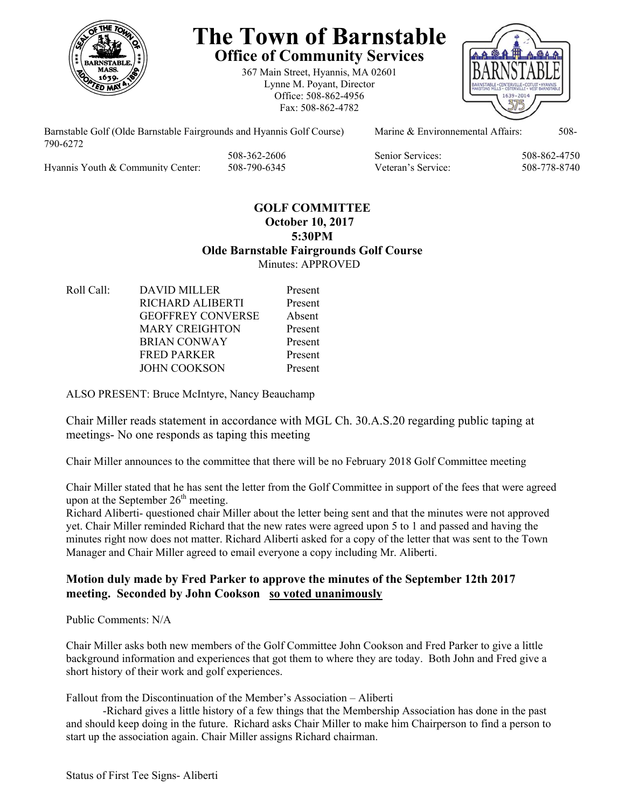

# **The Town of Barnstable Office of Community Services**

367 Main Street, Hyannis, MA 02601 Lynne M. Poyant, Director Office: 508-862-4956 Fax: 508-862-4782



Barnstable Golf (Olde Barnstable Fairgrounds and Hyannis Golf Course) Marine & Environnemental Affairs: 508-790-6272

Hyannis Youth & Community Center: 508-790-6345 Veteran's Service: 508-778-8740

508-362-2606 Senior Services: 508-862-4750

## **GOLF COMMITTEE October 10, 2017 5:30PM Olde Barnstable Fairgrounds Golf Course**  Minutes: APPROVED

Roll Call: DAVID MILLER Present RICHARD ALIBERTI Present GEOFFREY CONVERSE Absent MARY CREIGHTON Present BRIAN CONWAY Present FRED PARKER Present JOHN COOKSON Present

ALSO PRESENT: Bruce McIntyre, Nancy Beauchamp

Chair Miller reads statement in accordance with MGL Ch. 30.A.S.20 regarding public taping at meetings- No one responds as taping this meeting

Chair Miller announces to the committee that there will be no February 2018 Golf Committee meeting

Chair Miller stated that he has sent the letter from the Golf Committee in support of the fees that were agreed upon at the September  $26<sup>th</sup>$  meeting.

Richard Aliberti- questioned chair Miller about the letter being sent and that the minutes were not approved yet. Chair Miller reminded Richard that the new rates were agreed upon 5 to 1 and passed and having the minutes right now does not matter. Richard Aliberti asked for a copy of the letter that was sent to the Town Manager and Chair Miller agreed to email everyone a copy including Mr. Aliberti.

## **Motion duly made by Fred Parker to approve the minutes of the September 12th 2017 meeting. Seconded by John Cookson so voted unanimously**

Public Comments: N/A

Chair Miller asks both new members of the Golf Committee John Cookson and Fred Parker to give a little background information and experiences that got them to where they are today. Both John and Fred give a short history of their work and golf experiences.

Fallout from the Discontinuation of the Member's Association – Aliberti

 -Richard gives a little history of a few things that the Membership Association has done in the past and should keep doing in the future. Richard asks Chair Miller to make him Chairperson to find a person to start up the association again. Chair Miller assigns Richard chairman.